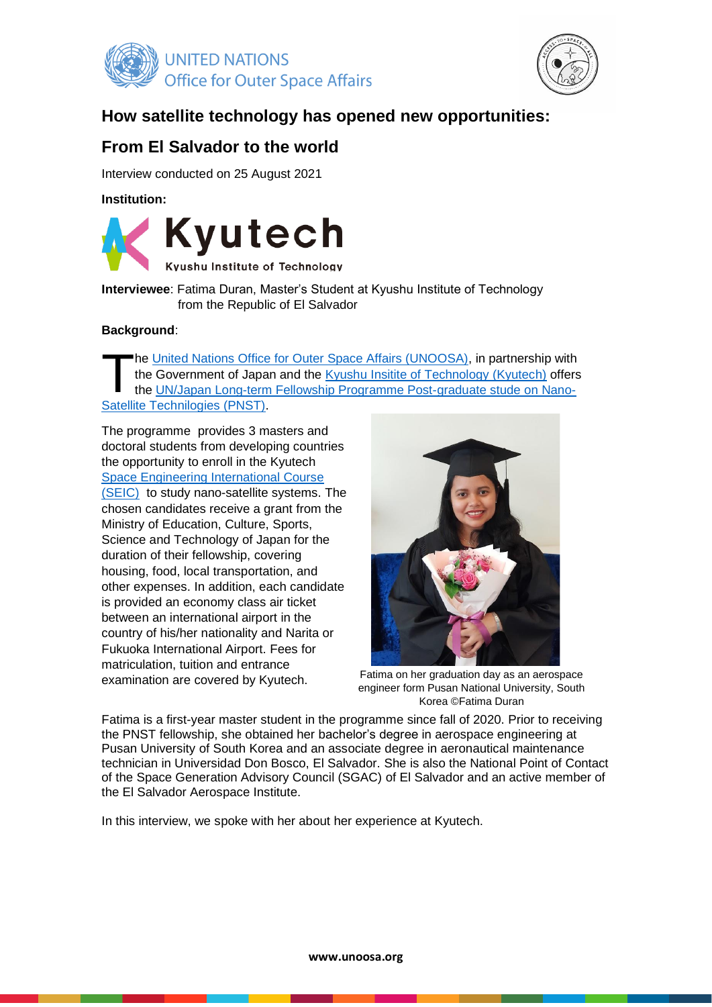



# **How satellite technology has opened new opportunities:**

# **From El Salvador to the world**

Interview conducted on 25 August 2021

**Institution:** 



**Interviewee**: Fatima Duran, Master's Student at Kyushu Institute of Technology from the Republic of El Salvador

## **Background**:

he [United Nations Office for Outer Space Affairs \(UNOOSA\),](https://www.unoosa.org/oosa/index.html) in partnership with the Government of Japan and the [Kyushu Insitite of Technology \(Kyutech\)](https://www.kyutech.ac.jp/english/) offers the UN/Japan [Long-term Fellowship Programme Post-graduate stude](https://www.unoosa.org/oosa/en/ourwork/psa/bsti/fellowships.html) on Nano-[Satellite Technilogies \(PNST\).](https://www.unoosa.org/oosa/en/ourwork/psa/bsti/fellowships.html) T

The programme provides 3 masters and doctoral students from developing countries the opportunity to enroll in the Kyutech [Space Engineering International Course](https://kyutech-cent.net/seic/seic_web.html)  [\(SEIC\)](https://kyutech-cent.net/seic/seic_web.html) to study nano-satellite systems. The chosen candidates receive a grant from the Ministry of Education, Culture, Sports, Science and Technology of Japan for the duration of their fellowship, covering housing, food, local transportation, and other expenses. In addition, each candidate is provided an economy class air ticket between an international airport in the country of his/her nationality and Narita or Fukuoka International Airport. Fees for matriculation, tuition and entrance examination are covered by Kyutech.



Fatima on her graduation day as an aerospace engineer form Pusan National University, South Korea ©Fatima Duran

Fatima is a first-year master student in the programme since fall of 2020. Prior to receiving the PNST fellowship, she obtained her bachelor's degree in aerospace engineering at Pusan University of South Korea and an associate degree in aeronautical maintenance technician in Universidad Don Bosco, El Salvador. She is also the National Point of Contact of the Space Generation Advisory Council (SGAC) of El Salvador and an active member of the El Salvador Aerospace Institute.

In this interview, we spoke with her about her experience at Kyutech.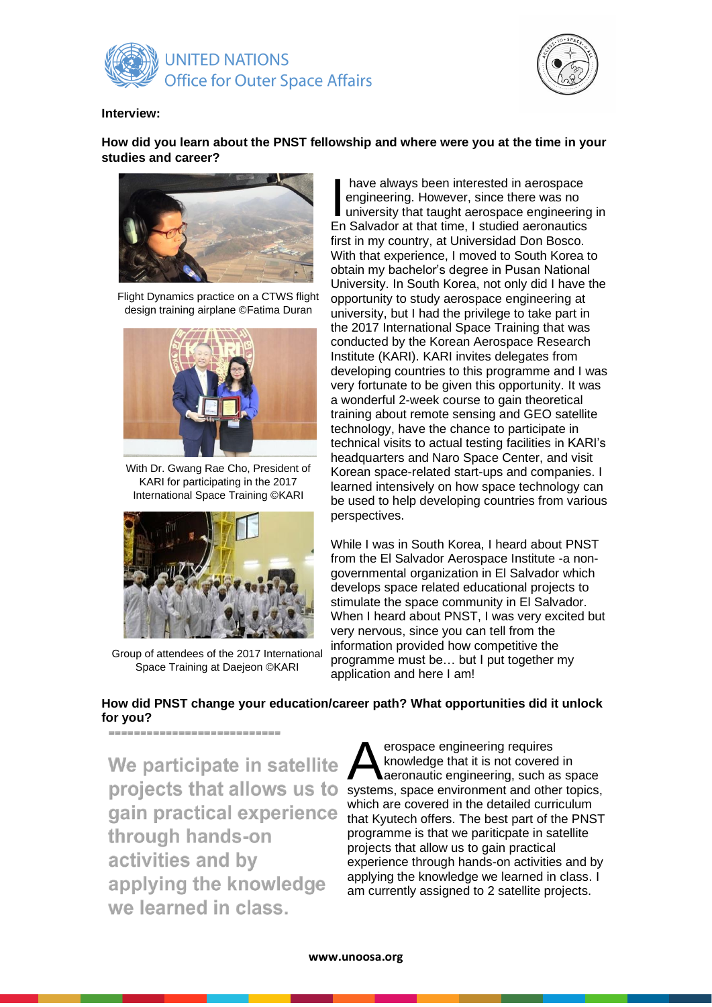



#### **Interview:**

**How did you learn about the PNST fellowship and where were you at the time in your studies and career?**



Flight Dynamics practice on a CTWS flight design training airplane ©Fatima Duran



With Dr. Gwang Rae Cho, President of KARI for participating in the 2017 International Space Training ©KARI



Group of attendees of the 2017 International Space Training at Daejeon ©KARI

have always been interested in aerospace engineering. However, since there was no university that taught aerospace engineering in have always been interested in aerospace<br>engineering. However, since there was no<br>university that taught aerospace engineering<br>En Salvador at that time, I studied aeronautics first in my country, at Universidad Don Bosco. With that experience, I moved to South Korea to obtain my bachelor's degree in Pusan National University. In South Korea, not only did I have the opportunity to study aerospace engineering at university, but I had the privilege to take part in the 2017 International Space Training that was conducted by the Korean Aerospace Research Institute (KARI). KARI invites delegates from developing countries to this programme and I was very fortunate to be given this opportunity. It was a wonderful 2-week course to gain theoretical training about remote sensing and GEO satellite technology, have the chance to participate in technical visits to actual testing facilities in KARI's headquarters and Naro Space Center, and visit Korean space-related start-ups and companies. I learned intensively on how space technology can be used to help developing countries from various perspectives.

While I was in South Korea, I heard about PNST from the El Salvador Aerospace Institute -a nongovernmental organization in El Salvador which develops space related educational projects to stimulate the space community in El Salvador. When I heard about PNST, I was very excited but very nervous, since you can tell from the information provided how competitive the programme must be… but I put together my application and here I am!

# **How did PNST change your education/career path? What opportunities did it unlock for you?**

We participate in satellite projects that allows us to gain practical experience through hands-on activities and by applying the knowledge we learned in class.

erospace engineering requires knowledge that it is not covered in aeronautic engineering, such as space **A** erospace engineering requires<br>
knowledge that it is not covered in<br>
systems, space environment and other topics, which are covered in the detailed curriculum that Kyutech offers. The best part of the PNST programme is that we pariticpate in satellite projects that allow us to gain practical experience through hands-on activities and by applying the knowledge we learned in class. I am currently assigned to 2 satellite projects.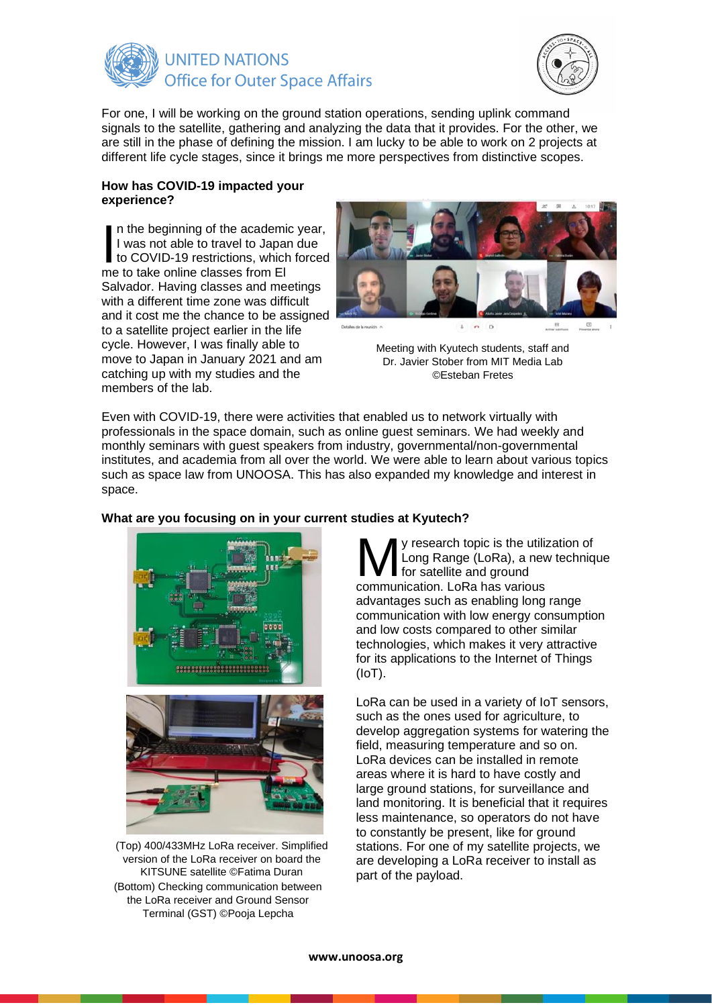



For one, I will be working on the ground station operations, sending uplink command signals to the satellite, gathering and analyzing the data that it provides. For the other, we are still in the phase of defining the mission. I am lucky to be able to work on 2 projects at different life cycle stages, since it brings me more perspectives from distinctive scopes.

#### **How has COVID-19 impacted your experience?**

n the beginning of the academic year, I was not able to travel to Japan due In the beginning of the academic year,<br>I was not able to travel to Japan due<br>to COVID-19 restrictions, which forced<br>me to take online classes from El me to take online classes from El Salvador. Having classes and meetings with a different time zone was difficult and it cost me the chance to be assigned to a satellite project earlier in the life cycle. However, I was finally able to move to Japan in January 2021 and am catching up with my studies and the members of the lab.



Meeting with Kyutech students, staff and Dr. Javier Stober from MIT Media Lab ©Esteban Fretes

Even with COVID-19, there were activities that enabled us to network virtually with professionals in the space domain, such as online guest seminars. We had weekly and monthly seminars with guest speakers from industry, governmental/non-governmental institutes, and academia from all over the world. We were able to learn about various topics such as space law from UNOOSA. This has also expanded my knowledge and interest in space.



Terminal (GST) ©Pooja Lepcha



Long Range (LoRa), a new technique for satellite and ground **M** y research topic is the utiliz<br>Long Range (LoRa), a nev<br>communication. LoRa has various advantages such as enabling long range communication with low energy consumption and low costs compared to other similar technologies, which makes it very attractive for its applications to the Internet of Things (IoT).

LoRa can be used in a variety of IoT sensors, such as the ones used for agriculture, to develop aggregation systems for watering the field, measuring temperature and so on. LoRa devices can be installed in remote areas where it is hard to have costly and large ground stations, for surveillance and land monitoring. It is beneficial that it requires less maintenance, so operators do not have to constantly be present, like for ground stations. For one of my satellite projects, we are developing a LoRa receiver to install as

part of the payload. (Top) 400/433MHz LoRa receiver. Simplified version of the LoRa receiver on board the KITSUNE satellite ©Fatima Duran (Bottom) Checking communication between the LoRa receiver and Ground Sensor

# **What are you focusing on in your current studies at Kyutech?**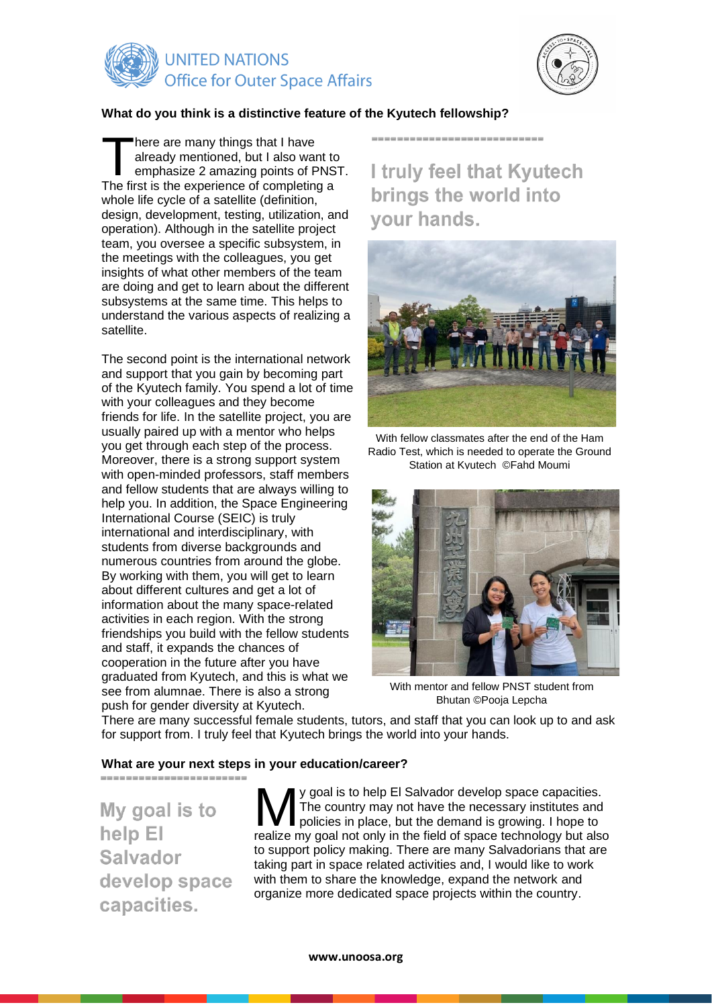

![](_page_3_Picture_1.jpeg)

## **What do you think is a distinctive feature of the Kyutech fellowship?**

here are many things that I have already mentioned, but I also want to emphasize 2 amazing points of PNST. There are many things that I have<br>already mentioned, but I also want to<br>emphasize 2 amazing points of PNS<br>The first is the experience of completing a whole life cycle of a satellite (definition, design, development, testing, utilization, and operation). Although in the satellite project team, you oversee a specific subsystem, in the meetings with the colleagues, you get insights of what other members of the team are doing and get to learn about the different subsystems at the same time. This helps to understand the various aspects of realizing a satellite.

The second point is the international network and support that you gain by becoming part of the Kyutech family. You spend a lot of time with your colleagues and they become friends for life. In the satellite project, you are usually paired up with a mentor who helps you get through each step of the process. Moreover, there is a strong support system with open-minded professors, staff members and fellow students that are always willing to help you. In addition, the Space Engineering International Course (SEIC) is truly international and interdisciplinary, with students from diverse backgrounds and numerous countries from around the globe. By working with them, you will get to learn about different cultures and get a lot of information about the many space-related activities in each region. With the strong friendships you build with the fellow students and staff, it expands the chances of cooperation in the future after you have graduated from Kyutech, and this is what we see from alumnae. There is also a strong push for gender diversity at Kyutech.

I truly feel that Kyutech brings the world into vour hands.

------------------------------

![](_page_3_Picture_6.jpeg)

With fellow classmates after the end of the Ham Radio Test, which is needed to operate the Ground Station at Kyutech ©Fahd Moumi

![](_page_3_Picture_8.jpeg)

With mentor and fellow PNST student from Bhutan ©Pooja Lepcha

There are many successful female students, tutors, and staff that you can look up to and ask for support from. I truly feel that Kyutech brings the world into your hands.

## **What are your next steps in your education/career?**

My goal is to help El **Salvador** develop space capacities.

--------------------------

y goal is to help El Salvador develop space capacities. The country may not have the necessary institutes and  $\Box$  policies in place, but the demand is growing. I hope to **V** goal is to help El Salvador develop space capacities.<br>The country may not have the necessary institutes and policies in place, but the demand is growing. I hope to realize my goal not only in the field of space technol to support policy making. There are many Salvadorians that are taking part in space related activities and, I would like to work with them to share the knowledge, expand the network and organize more dedicated space projects within the country.